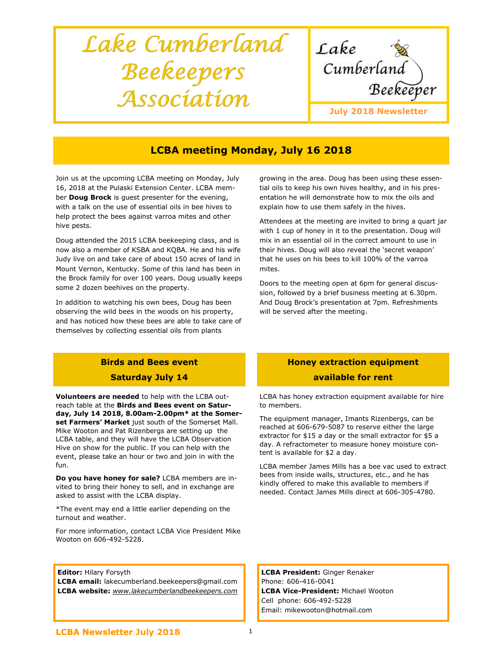# Lake Cumberland Beekeepers Association



# LCBA meeting Monday, July 16 2018

Join us at the upcoming LCBA meeting on Monday, July 16, 2018 at the Pulaski Extension Center. LCBA member Doug Brock is quest presenter for the evening, with a talk on the use of essential oils in bee hives to help protect the bees against varroa mites and other hive pests.

Doug attended the 2015 LCBA beekeeping class, and is now also a member of KSBA and KQBA. He and his wife Judy live on and take care of about 150 acres of land in Mount Vernon, Kentucky. Some of this land has been in the Brock family for over 100 years. Doug usually keeps some 2 dozen beehives on the property.

In addition to watching his own bees, Doug has been observing the wild bees in the woods on his property, and has noticed how these bees are able to take care of themselves by collecting essential oils from plants

## Birds and Bees event Saturday July 14

Volunteers are needed to help with the LCBA outreach table at the Birds and Bees event on Saturday, July 14 2018, 8.00am-2.00pm\* at the Somerset Farmers' Market just south of the Somerset Mall. Mike Wooton and Pat Rizenbergs are setting up the LCBA table, and they will have the LCBA Observation Hive on show for the public. If you can help with the event, please take an hour or two and join in with the fun.

Do you have honey for sale? LCBA members are invited to bring their honey to sell, and in exchange are asked to assist with the LCBA display.

\*The event may end a little earlier depending on the turnout and weather.

For more information, contact LCBA Vice President Mike Wooton on 606-492-5228.

#### **Editor: Hilary Forsyth**

LCBA email: lakecumberland.beekeepers@gmail.com LCBA website: www.lakecumberlandbeekeepers.com growing in the area. Doug has been using these essential oils to keep his own hives healthy, and in his presentation he will demonstrate how to mix the oils and explain how to use them safely in the hives.

Attendees at the meeting are invited to bring a quart jar with 1 cup of honey in it to the presentation. Doug will mix in an essential oil in the correct amount to use in their hives. Doug will also reveal the 'secret weapon' that he uses on his bees to kill 100% of the varroa mites.

Doors to the meeting open at 6pm for general discussion, followed by a brief business meeting at 6.30pm. And Doug Brock's presentation at 7pm. Refreshments will be served after the meeting.

## Honey extraction equipment available for rent

LCBA has honey extraction equipment available for hire to members.

The equipment manager, Imants Rizenbergs, can be reached at 606-679-5087 to reserve either the large extractor for \$15 a day or the small extractor for \$5 a day. A refractometer to measure honey moisture content is available for \$2 a day.

LCBA member James Mills has a bee vac used to extract bees from inside walls, structures, etc., and he has kindly offered to make this available to members if needed. Contact James Mills direct at 606-305-4780.

LCBA President: Ginger Renaker Phone: 606-416-0041 LCBA Vice-President: Michael Wooton Cell phone: 606-492-5228 Email: mikewooton@hotmail.com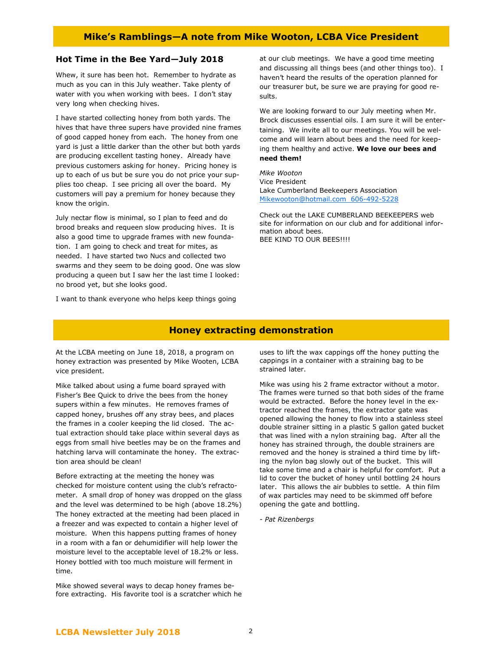### Hot Time in the Bee Yard—July 2018

Whew, it sure has been hot. Remember to hydrate as much as you can in this July weather. Take plenty of water with you when working with bees. I don't stay very long when checking hives.

I have started collecting honey from both yards. The hives that have three supers have provided nine frames of good capped honey from each. The honey from one yard is just a little darker than the other but both yards are producing excellent tasting honey. Already have previous customers asking for honey. Pricing honey is up to each of us but be sure you do not price your supplies too cheap. I see pricing all over the board. My customers will pay a premium for honey because they know the origin.

July nectar flow is minimal, so I plan to feed and do brood breaks and requeen slow producing hives. It is also a good time to upgrade frames with new foundation. I am going to check and treat for mites, as needed. I have started two Nucs and collected two swarms and they seem to be doing good. One was slow producing a queen but I saw her the last time I looked: no brood yet, but she looks good.

I want to thank everyone who helps keep things going

at our club meetings. We have a good time meeting and discussing all things bees (and other things too). I haven't heard the results of the operation planned for our treasurer but, be sure we are praying for good results.

We are looking forward to our July meeting when Mr. Brock discusses essential oils. I am sure it will be entertaining. We invite all to our meetings. You will be welcome and will learn about bees and the need for keeping them healthy and active. We love our bees and need them!

Mike Wooton Vice President Lake Cumberland Beekeepers Association Mikewooton@hotmail.com 606-492-5228

Check out the LAKE CUMBERLAND BEEKEEPERS web site for information on our club and for additional information about bees. BEE KIND TO OUR BEES!!!!

#### Honey extracting demonstration

At the LCBA meeting on June 18, 2018, a program on honey extraction was presented by Mike Wooten, LCBA vice president.

Mike talked about using a fume board sprayed with Fisher's Bee Quick to drive the bees from the honey supers within a few minutes. He removes frames of capped honey, brushes off any stray bees, and places the frames in a cooler keeping the lid closed. The actual extraction should take place within several days as eggs from small hive beetles may be on the frames and hatching larva will contaminate the honey. The extraction area should be clean!

Before extracting at the meeting the honey was checked for moisture content using the club's refractometer. A small drop of honey was dropped on the glass and the level was determined to be high (above 18.2%) The honey extracted at the meeting had been placed in a freezer and was expected to contain a higher level of moisture. When this happens putting frames of honey in a room with a fan or dehumidifier will help lower the moisture level to the acceptable level of 18.2% or less. Honey bottled with too much moisture will ferment in time.

Mike showed several ways to decap honey frames before extracting. His favorite tool is a scratcher which he uses to lift the wax cappings off the honey putting the cappings in a container with a straining bag to be strained later.

Mike was using his 2 frame extractor without a motor. The frames were turned so that both sides of the frame would be extracted. Before the honey level in the extractor reached the frames, the extractor gate was opened allowing the honey to flow into a stainless steel double strainer sitting in a plastic 5 gallon gated bucket that was lined with a nylon straining bag. After all the honey has strained through, the double strainers are removed and the honey is strained a third time by lifting the nylon bag slowly out of the bucket. This will take some time and a chair is helpful for comfort. Put a lid to cover the bucket of honey until bottling 24 hours later. This allows the air bubbles to settle. A thin film of wax particles may need to be skimmed off before opening the gate and bottling.

- Pat Rizenbergs